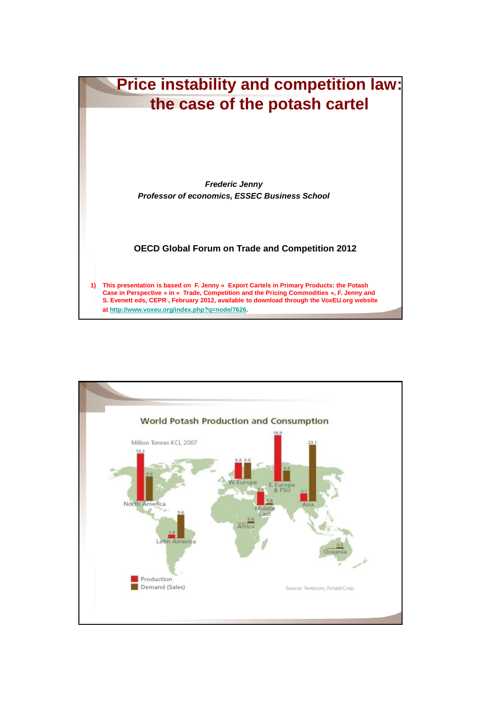

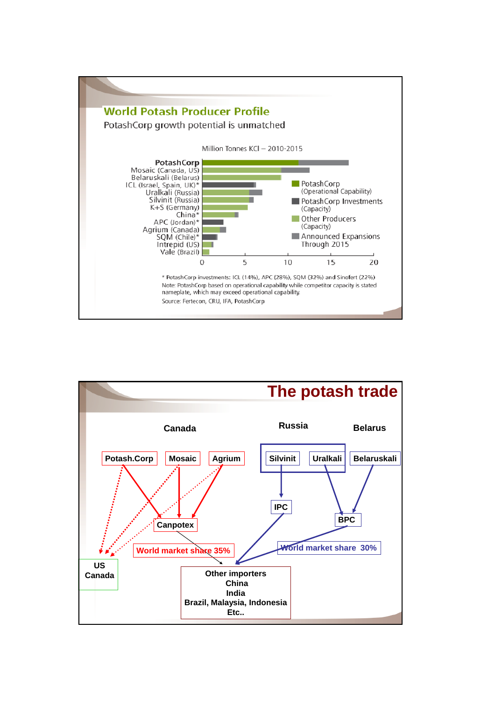

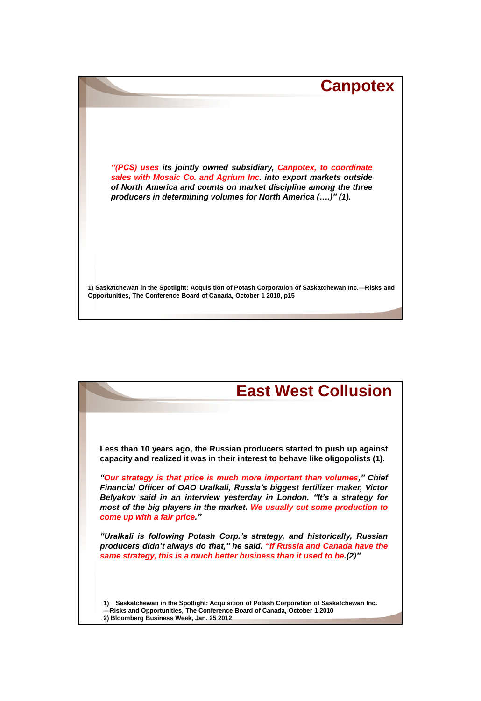

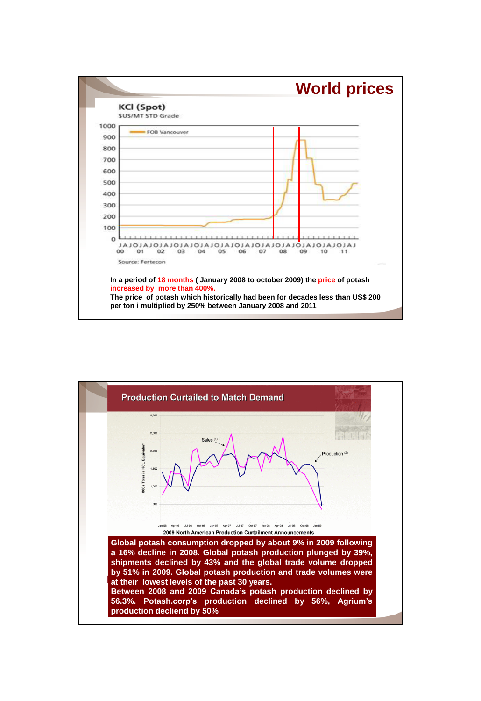

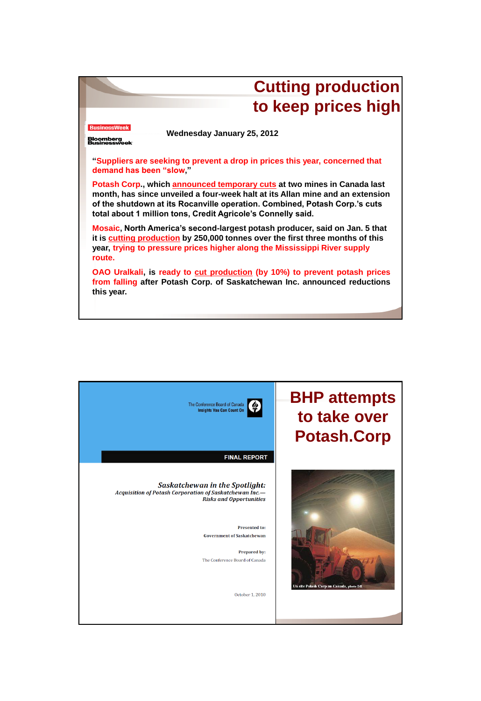

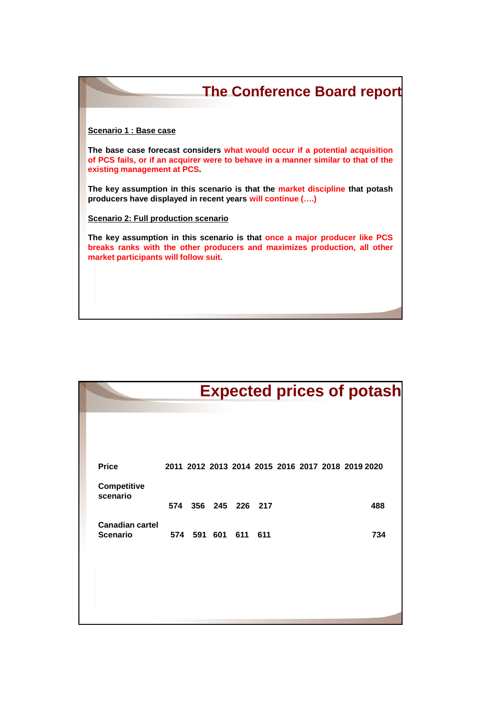| <b>The Conference Board report</b>                                                                                                                                                               |
|--------------------------------------------------------------------------------------------------------------------------------------------------------------------------------------------------|
| Scenario 1 : Base case                                                                                                                                                                           |
| The base case forecast considers what would occur if a potential acquisition<br>of PCS fails, or if an acquirer were to behave in a manner similar to that of the<br>existing management at PCS. |
| The key assumption in this scenario is that the market discipline that potash<br>producers have displayed in recent years will continue ()                                                       |
| Scenario 2: Full production scenario                                                                                                                                                             |
| The key assumption in this scenario is that once a major producer like PCS<br>breaks ranks with the other producers and maximizes production, all other<br>market participants will follow suit. |
|                                                                                                                                                                                                  |
|                                                                                                                                                                                                  |

|                                           | <b>Expected prices of potash</b> |                     |  |  |  |  |  |  |                                                   |  |
|-------------------------------------------|----------------------------------|---------------------|--|--|--|--|--|--|---------------------------------------------------|--|
|                                           |                                  |                     |  |  |  |  |  |  |                                                   |  |
| <b>Price</b>                              |                                  |                     |  |  |  |  |  |  | 2011 2012 2013 2014 2015 2016 2017 2018 2019 2020 |  |
| <b>Competitive</b><br>scenario            |                                  | 574 356 245 226 217 |  |  |  |  |  |  | 488                                               |  |
| <b>Canadian cartel</b><br><b>Scenario</b> | 574 591 601 611 611              |                     |  |  |  |  |  |  | 734                                               |  |
|                                           |                                  |                     |  |  |  |  |  |  |                                                   |  |
|                                           |                                  |                     |  |  |  |  |  |  |                                                   |  |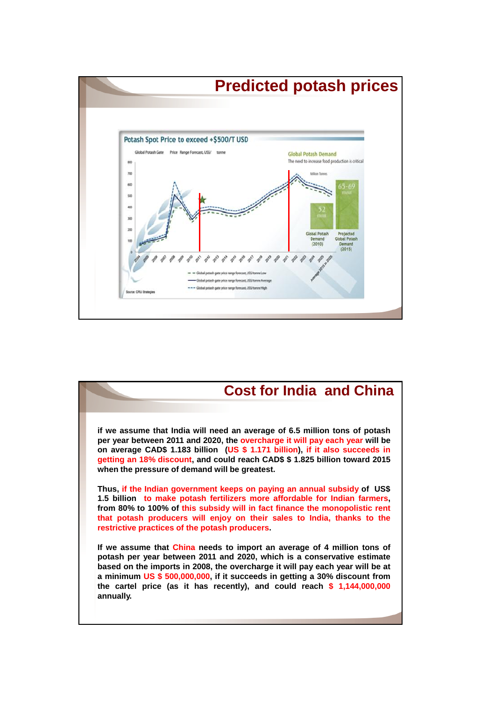

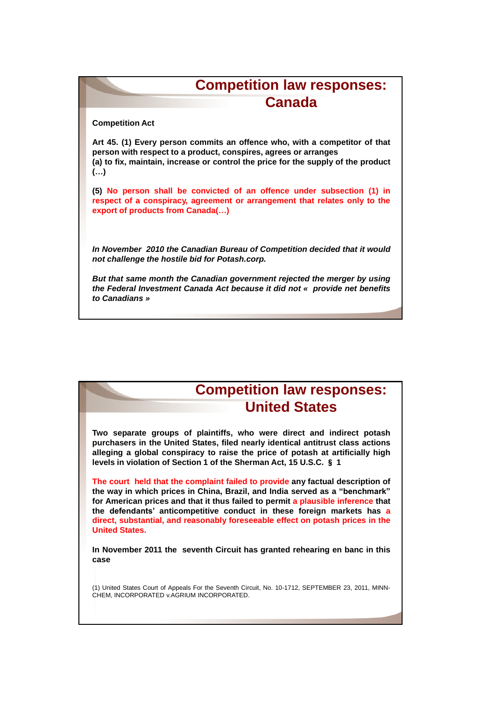## **Competition law responses: Canada**

**Competition Act**

**Art 45. (1) Every person commits an offence who, with a competitor of that person with respect to a product, conspires, agrees or arranges (a) to fix, maintain, increase or control the price for the supply of the product (…)**

**(5) No person shall be convicted of an offence under subsection (1) in respect of a conspiracy, agreement or arrangement that relates only to the export of products from Canada(…)**

*In November 2010 the Canadian Bureau of Competition decided that it would not challenge the hostile bid for Potash.corp.*

*But that same month the Canadian government rejected the merger by using the Federal Investment Canada Act because it did not « provide net benefits to Canadians »*

## **Competition law responses: United States**

**Two separate groups of plaintiffs, who were direct and indirect potash purchasers in the United States, filed nearly identical antitrust class actions alleging a global conspiracy to raise the price of potash at artificially high levels in violation of Section 1 of the Sherman Act, 15 U.S.C.** § **1**

**The court held that the complaint failed to provide any factual description of the way in which prices in China, Brazil, and India served as a "benchmark" for American prices and that it thus failed to permit a plausible inference that the defendants" anticompetitive conduct in these foreign markets has a direct, substantial, and reasonably foreseeable effect on potash prices in the United States.**

**In November 2011 the seventh Circuit has granted rehearing en banc in this case**

(1) United States Court of Appeals For the Seventh Circuit, No. 10-1712, SEPTEMBER 23, 2011, MINN-CHEM, INCORPORATED v.AGRIUM INCORPORATED.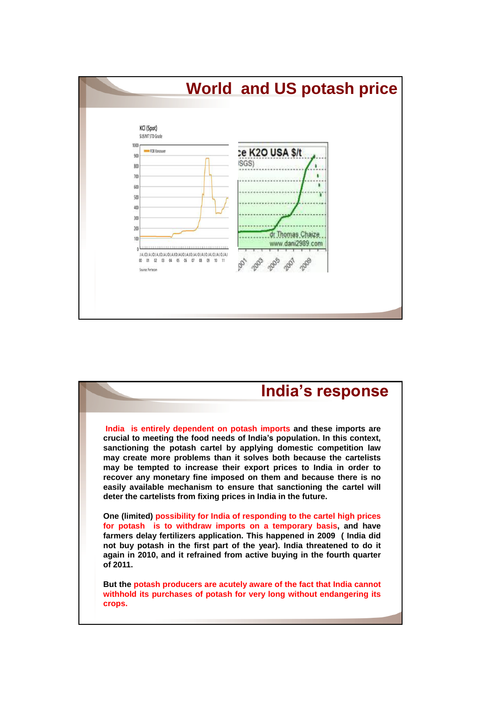

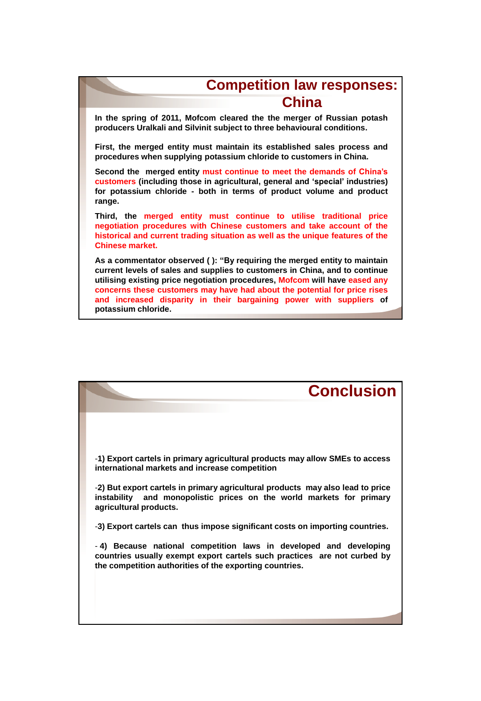## **Competition law responses: China**

**In the spring of 2011, Mofcom cleared the the merger of Russian potash producers Uralkali and Silvinit subject to three behavioural conditions.**

**First, the merged entity must maintain its established sales process and procedures when supplying potassium chloride to customers in China.**

**Second the merged entity must continue to meet the demands of China"s customers (including those in agricultural, general and "special" industries) for potassium chloride - both in terms of product volume and product range.**

**Third, the merged entity must continue to utilise traditional price negotiation procedures with Chinese customers and take account of the historical and current trading situation as well as the unique features of the Chinese market.**

**As a commentator observed ( ): "By requiring the merged entity to maintain current levels of sales and supplies to customers in China, and to continue utilising existing price negotiation procedures, Mofcom will have eased any concerns these customers may have had about the potential for price rises and increased disparity in their bargaining power with suppliers of potassium chloride.**